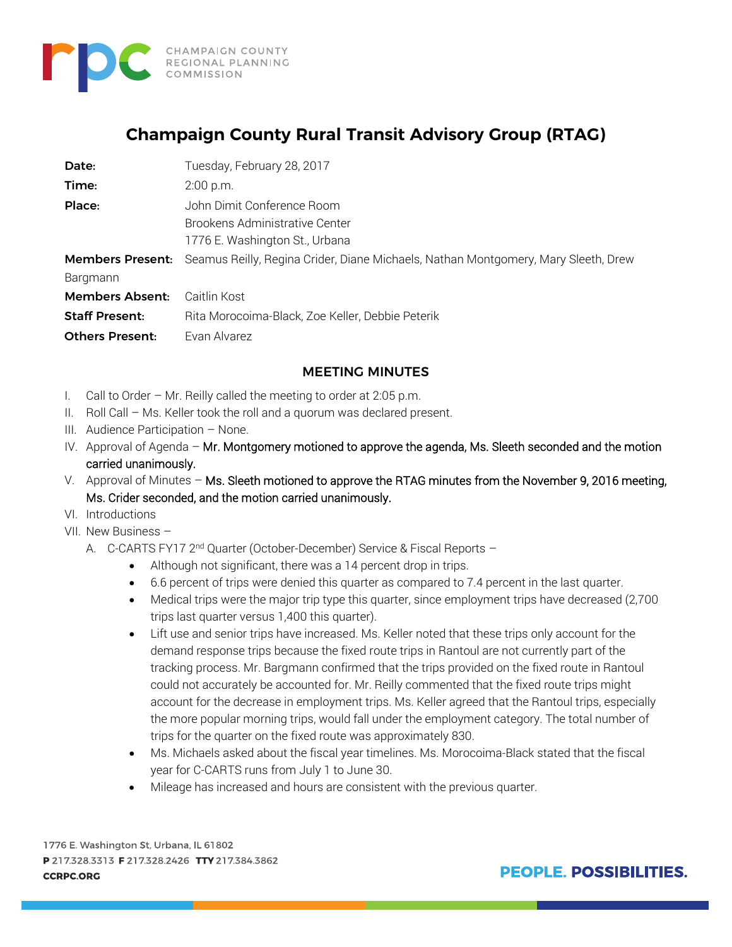

## **Champaign County Rural Transit Advisory Group (RTAG)**

| Date:                  | Tuesday, February 28, 2017                                                                                 |
|------------------------|------------------------------------------------------------------------------------------------------------|
| Time:                  | $2:00$ p.m.                                                                                                |
| Place:                 | John Dimit Conference Room                                                                                 |
|                        | Brookens Administrative Center                                                                             |
|                        | 1776 E. Washington St., Urbana                                                                             |
|                        | <b>Members Present:</b> Seamus Reilly, Regina Crider, Diane Michaels, Nathan Montgomery, Mary Sleeth, Drew |
| Bargmann               |                                                                                                            |
| <b>Members Absent:</b> | Caitlin Kost                                                                                               |
| <b>Staff Present:</b>  | Rita Morocoima-Black, Zoe Keller, Debbie Peterik                                                           |
| <b>Others Present:</b> | Evan Alvarez                                                                                               |

## MEETING MINUTES

- I. Call to Order Mr. Reilly called the meeting to order at 2:05 p.m.
- II. Roll Call Ms. Keller took the roll and a quorum was declared present.
- III. Audience Participation None.
- IV. Approval of Agenda Mr. Montgomery motioned to approve the agenda, Ms. Sleeth seconded and the motion carried unanimously.
- V. Approval of Minutes Ms. Sleeth motioned to approve the RTAG minutes from the November 9, 2016 meeting, Ms. Crider seconded, and the motion carried unanimously.
- VI. Introductions
- VII. New Business
	- A. C-CARTS FY17 2<sup>nd</sup> Quarter (October-December) Service & Fiscal Reports -
		- Although not significant, there was a 14 percent drop in trips.
		- 6.6 percent of trips were denied this quarter as compared to 7.4 percent in the last quarter.
		- Medical trips were the major trip type this quarter, since employment trips have decreased (2,700) trips last quarter versus 1,400 this quarter).
		- Lift use and senior trips have increased. Ms. Keller noted that these trips only account for the demand response trips because the fixed route trips in Rantoul are not currently part of the tracking process. Mr. Bargmann confirmed that the trips provided on the fixed route in Rantoul could not accurately be accounted for. Mr. Reilly commented that the fixed route trips might account for the decrease in employment trips. Ms. Keller agreed that the Rantoul trips, especially the more popular morning trips, would fall under the employment category. The total number of trips for the quarter on the fixed route was approximately 830.
		- Ms. Michaels asked about the fiscal year timelines. Ms. Morocoima-Black stated that the fiscal year for C-CARTS runs from July 1 to June 30.
		- Mileage has increased and hours are consistent with the previous quarter.

1776 E. Washington St, Urbana, IL 61802 P 217.328.3313 F 217.328.2426 TTY 217.384.3862 **CCRPC.ORG**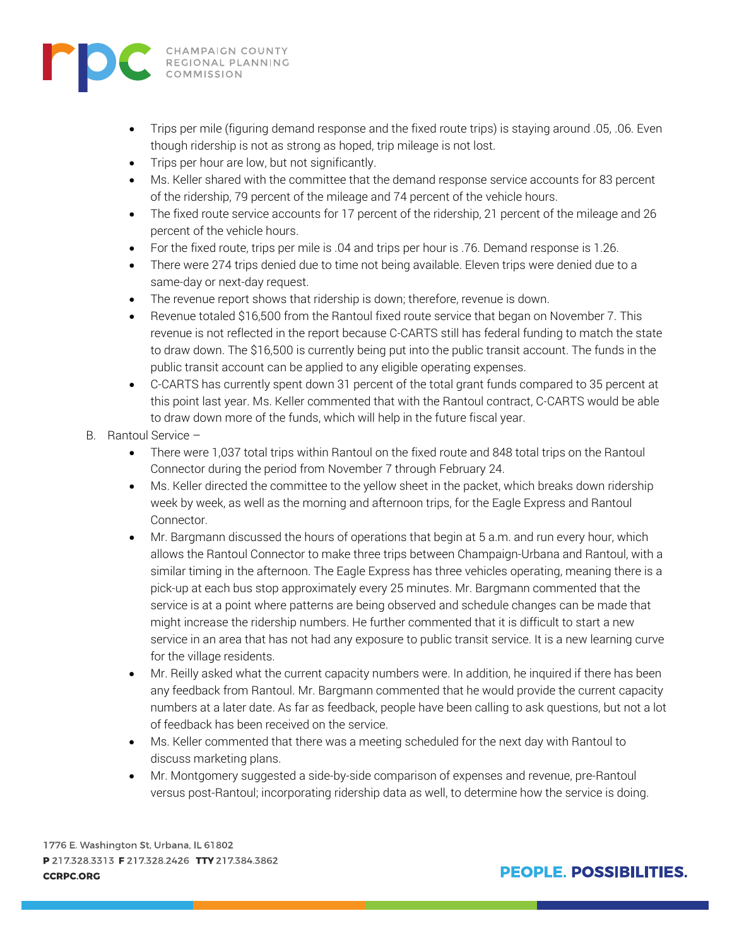

- Trips per mile (figuring demand response and the fixed route trips) is staying around .05, .06. Even though ridership is not as strong as hoped, trip mileage is not lost.
- Trips per hour are low, but not significantly.
- Ms. Keller shared with the committee that the demand response service accounts for 83 percent of the ridership, 79 percent of the mileage and 74 percent of the vehicle hours.
- The fixed route service accounts for 17 percent of the ridership, 21 percent of the mileage and 26 percent of the vehicle hours.
- For the fixed route, trips per mile is .04 and trips per hour is .76. Demand response is 1.26.
- There were 274 trips denied due to time not being available. Eleven trips were denied due to a same-day or next-day request.
- The revenue report shows that ridership is down; therefore, revenue is down.
- Revenue totaled \$16,500 from the Rantoul fixed route service that began on November 7. This revenue is not reflected in the report because C-CARTS still has federal funding to match the state to draw down. The \$16,500 is currently being put into the public transit account. The funds in the public transit account can be applied to any eligible operating expenses.
- C-CARTS has currently spent down 31 percent of the total grant funds compared to 35 percent at this point last year. Ms. Keller commented that with the Rantoul contract, C-CARTS would be able to draw down more of the funds, which will help in the future fiscal year.
- B. Rantoul Service
	- There were 1,037 total trips within Rantoul on the fixed route and 848 total trips on the Rantoul Connector during the period from November 7 through February 24.
	- Ms. Keller directed the committee to the yellow sheet in the packet, which breaks down ridership week by week, as well as the morning and afternoon trips, for the Eagle Express and Rantoul Connector.
	- Mr. Bargmann discussed the hours of operations that begin at 5 a.m. and run every hour, which allows the Rantoul Connector to make three trips between Champaign-Urbana and Rantoul, with a similar timing in the afternoon. The Eagle Express has three vehicles operating, meaning there is a pick-up at each bus stop approximately every 25 minutes. Mr. Bargmann commented that the service is at a point where patterns are being observed and schedule changes can be made that might increase the ridership numbers. He further commented that it is difficult to start a new service in an area that has not had any exposure to public transit service. It is a new learning curve for the village residents.
	- Mr. Reilly asked what the current capacity numbers were. In addition, he inquired if there has been any feedback from Rantoul. Mr. Bargmann commented that he would provide the current capacity numbers at a later date. As far as feedback, people have been calling to ask questions, but not a lot of feedback has been received on the service.
	- Ms. Keller commented that there was a meeting scheduled for the next day with Rantoul to discuss marketing plans.
	- Mr. Montgomery suggested a side-by-side comparison of expenses and revenue, pre-Rantoul versus post-Rantoul; incorporating ridership data as well, to determine how the service is doing.

1776 E. Washington St, Urbana, IL 61802 P 217.328.3313 F 217.328.2426 TTY 217.384.3862 **CCRPC.ORG**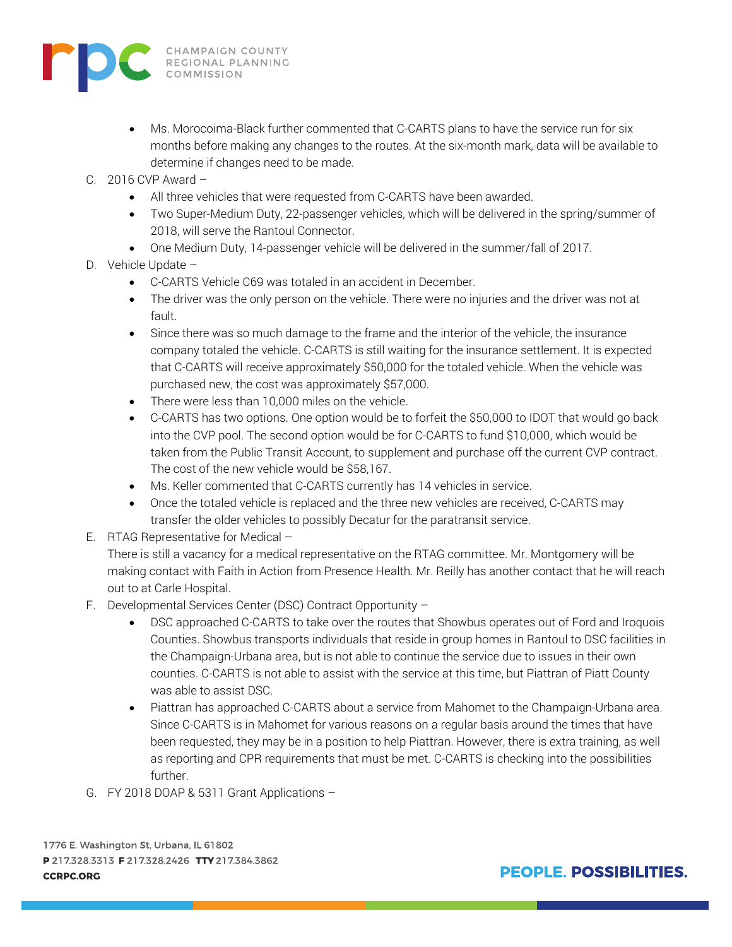

- Ms. Morocoima-Black further commented that C-CARTS plans to have the service run for six months before making any changes to the routes. At the six-month mark, data will be available to determine if changes need to be made.
- C. 2016 CVP Award
	- All three vehicles that were requested from C-CARTS have been awarded.
	- Two Super-Medium Duty, 22-passenger vehicles, which will be delivered in the spring/summer of 2018, will serve the Rantoul Connector.
	- One Medium Duty, 14-passenger vehicle will be delivered in the summer/fall of 2017.
- D. Vehicle Update
	- C-CARTS Vehicle C69 was totaled in an accident in December.
	- The driver was the only person on the vehicle. There were no injuries and the driver was not at fault.
	- Since there was so much damage to the frame and the interior of the vehicle, the insurance company totaled the vehicle. C-CARTS is still waiting for the insurance settlement. It is expected that C-CARTS will receive approximately \$50,000 for the totaled vehicle. When the vehicle was purchased new, the cost was approximately \$57,000.
	- There were less than 10,000 miles on the vehicle.
	- C-CARTS has two options. One option would be to forfeit the \$50,000 to IDOT that would go back into the CVP pool. The second option would be for C-CARTS to fund \$10,000, which would be taken from the Public Transit Account, to supplement and purchase off the current CVP contract. The cost of the new vehicle would be \$58,167.
	- Ms. Keller commented that C-CARTS currently has 14 vehicles in service.
	- Once the totaled vehicle is replaced and the three new vehicles are received, C-CARTS may transfer the older vehicles to possibly Decatur for the paratransit service.
- E. RTAG Representative for Medical –

There is still a vacancy for a medical representative on the RTAG committee. Mr. Montgomery will be making contact with Faith in Action from Presence Health. Mr. Reilly has another contact that he will reach out to at Carle Hospital.

- F. Developmental Services Center (DSC) Contract Opportunity
	- DSC approached C-CARTS to take over the routes that Showbus operates out of Ford and Iroquois Counties. Showbus transports individuals that reside in group homes in Rantoul to DSC facilities in the Champaign-Urbana area, but is not able to continue the service due to issues in their own counties. C-CARTS is not able to assist with the service at this time, but Piattran of Piatt County was able to assist DSC.
	- Piattran has approached C-CARTS about a service from Mahomet to the Champaign-Urbana area. Since C-CARTS is in Mahomet for various reasons on a regular basis around the times that have been requested, they may be in a position to help Piattran. However, there is extra training, as well as reporting and CPR requirements that must be met. C-CARTS is checking into the possibilities further.
- G. FY 2018 DOAP & 5311 Grant Applications –

1776 E. Washington St, Urbana, IL 61802 P 217.328.3313 F 217.328.2426 TTY 217.384.3862 **CCRPC.ORG**